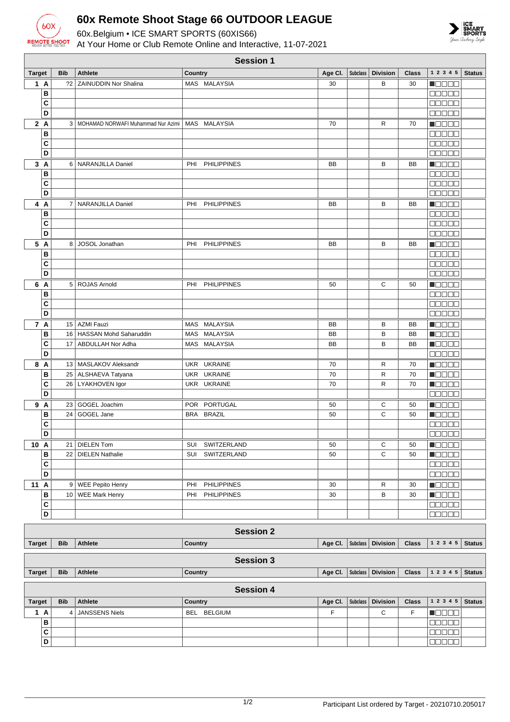

**C D**

## **60x Remote Shoot Stage 66 OUTDOOR LEAGUE**

60x.Belgium • ICE SMART SPORTS (60XIS66) At Your Home or Club Remote Online and Interactive, 11-07-2021



|                      | <b>Session 1</b> |            |                                        |            |                    |           |                 |                 |              |                             |               |
|----------------------|------------------|------------|----------------------------------------|------------|--------------------|-----------|-----------------|-----------------|--------------|-----------------------------|---------------|
| <b>Target</b>        |                  | <b>Bib</b> | <b>Athlete</b>                         | Country    |                    | Age CI.   | <b>Subclass</b> | <b>Division</b> | <b>Class</b> | 1 2 3 4 5                   | <b>Status</b> |
| 1 A                  |                  |            | ?2   ZAINUDDIN Nor Shalina             |            | MAS MALAYSIA       | 30        |                 | B               | 30           | n Els Els                   |               |
|                      | B                |            |                                        |            |                    |           |                 |                 |              | <b>00000</b>                |               |
|                      | C                |            |                                        |            |                    |           |                 |                 |              | 88888                       |               |
|                      | D                |            |                                        |            |                    |           |                 |                 |              | 88886                       |               |
| 2A                   |                  |            | 3   MOHAMAD NORWAFI Muhammad Nur Azimi |            | MAS MALAYSIA       | 70        |                 | R               | 70           | Macac                       |               |
|                      | B                |            |                                        |            |                    |           |                 |                 |              | na na m                     |               |
|                      | C                |            |                                        |            |                    |           |                 |                 |              | Maaala                      |               |
|                      | D                |            |                                        |            |                    |           |                 |                 |              | 00000                       |               |
| 3A                   |                  |            | 6   NARANJILLA Daniel                  | PHI        | <b>PHILIPPINES</b> | <b>BB</b> |                 | В               | <b>BB</b>    | HOOOC                       |               |
|                      | В                |            |                                        |            |                    |           |                 |                 |              | 00000                       |               |
|                      | C                |            |                                        |            |                    |           |                 |                 |              | $\Box$ $\Box$ $\Box$ $\Box$ |               |
|                      | D                |            |                                        |            |                    |           |                 |                 |              | Ma Sela                     |               |
| 4 A                  |                  |            | 7   NARANJILLA Daniel                  | PHI        | <b>PHILIPPINES</b> | BB        |                 | В               | BB           | d i Biblio                  |               |
|                      | B                |            |                                        |            |                    |           |                 |                 |              | aa aa a                     |               |
|                      | C                |            |                                        |            |                    |           |                 |                 |              | e se se                     |               |
|                      | D                |            |                                        |            |                    |           |                 |                 |              | 88888                       |               |
| 5 A                  |                  |            | 8 JOSOL Jonathan                       | PHI        | <b>PHILIPPINES</b> | <b>BB</b> |                 | В               | BB           | n de en                     |               |
|                      | В                |            |                                        |            |                    |           |                 |                 |              | 88888                       |               |
|                      | C                |            |                                        |            |                    |           |                 |                 |              | manaa                       |               |
|                      | D                |            |                                        |            |                    |           |                 |                 |              | 88888                       |               |
| 6 A                  |                  |            | 5 ROJAS Arnold                         | PHI        | <b>PHILIPPINES</b> | 50        |                 | С               | 50           | n da a a                    |               |
|                      | В                |            |                                        |            |                    |           |                 |                 |              | 88888                       |               |
|                      | C                |            |                                        |            |                    |           |                 |                 |              | 00000                       |               |
|                      | D                |            |                                        |            |                    |           |                 |                 |              | 88888                       |               |
| 7 A                  |                  |            | 15 AZMI Fauzi                          | MAS        | MALAYSIA           | BB        |                 | В               | BB           | n de e e                    |               |
|                      | B                | 16         | HASSAN Mohd Saharuddin                 | MAS        | <b>MALAYSIA</b>    | <b>BB</b> |                 | B               | BB           | n de oe                     |               |
|                      | C                | 17         | ABDULLAH Nor Adha                      |            | MAS MALAYSIA       | <b>BB</b> |                 | B               | <b>BB</b>    | d i Biblio                  |               |
|                      | D                |            |                                        |            |                    |           |                 |                 |              | 00000                       |               |
| 8 A                  |                  |            | 13   MASLAKOV Aleksandr                | <b>UKR</b> | <b>UKRAINE</b>     | 70        |                 | R               | 70           | 1   8   8   8   8           |               |
|                      | В                |            | 25   ALSHAEVA Tatyana                  |            | UKR UKRAINE        | 70        |                 | $\mathsf{R}$    | 70           | n Booa                      |               |
|                      | C                |            | 26   LYAKHOVEN Igor                    |            | UKR UKRAINE        | 70        |                 | R               | 70           | N E E E E                   |               |
|                      | D                |            |                                        |            |                    |           |                 |                 |              | <b>00000</b>                |               |
| 9 A                  |                  |            | 23 GOGEL Joachim                       |            | POR PORTUGAL       | 50        |                 | С               | 50           | a je po se                  |               |
|                      | B                | 24         | GOGEL Jane                             |            | BRA BRAZIL         | 50        |                 | C               | 50           | <b>Maaaa</b>                |               |
|                      | C                |            |                                        |            |                    |           |                 |                 |              | e e e e e                   |               |
|                      | D                |            |                                        |            |                    |           |                 |                 |              | 88888                       |               |
| 10 A                 |                  |            | 21 DIELEN Tom                          |            | SUI SWITZERLAND    | 50        |                 | С               | 50           | <b>R</b> odoa               |               |
|                      | в                | 22         | <b>DIELEN Nathalie</b>                 |            | SUI SWITZERLAND    | 50        |                 | $\mathsf C$     | 50           | <b>N</b> OOOO               |               |
|                      | C                |            |                                        |            |                    |           |                 |                 |              | 88888                       |               |
|                      | D                |            |                                        |            |                    |           |                 |                 |              | 88888                       |               |
| 11 A                 |                  |            | 9 WEE Pepito Henry                     | PHI        | <b>PHILIPPINES</b> | 30        |                 | R               | 30           | <b>Maaaa</b>                |               |
|                      | В                |            | 10   WEE Mark Henry                    | PHI        | <b>PHILIPPINES</b> | 30        |                 | В               | 30           | <b>HEEEE</b>                |               |
|                      | С                |            |                                        |            |                    |           |                 |                 |              | 00000                       |               |
|                      | D                |            |                                        |            |                    |           |                 |                 |              | ee ee e                     |               |
| <b>Session 2</b>     |                  |            |                                        |            |                    |           |                 |                 |              |                             |               |
| 1 2 3 4 5<br>Country |                  |            |                                        |            |                    |           |                 |                 |              |                             |               |
| <b>Target</b>        |                  | <b>Bib</b> | Athlete                                |            |                    | Age Cl.   | <b>Subclass</b> | <b>Division</b> | <b>Class</b> |                             | <b>Status</b> |
| <b>Session 3</b>     |                  |            |                                        |            |                    |           |                 |                 |              |                             |               |
| <b>Target</b>        |                  | <b>Bib</b> | Athlete                                | Country    |                    | Age CI.   | Subclass        | <b>Division</b> | <b>Class</b> | 1 2 3 4 5                   | <b>Status</b> |
| <b>Session 4</b>     |                  |            |                                        |            |                    |           |                 |                 |              |                             |               |
| <b>Target</b>        |                  | <b>Bib</b> | Athlete                                | Country    |                    | Age Cl.   | Subclass        | <b>Division</b> | <b>Class</b> | 1 2 3 4 5                   | <b>Status</b> |
| 1 A                  |                  | 4          | JANSSENS Niels                         |            | BEL BELGIUM        | F         |                 | С               | F            | MOOO O                      |               |
|                      | B                |            |                                        |            |                    |           |                 |                 |              | <b>NODOO</b>                |               |

| 00000 |<br>| 00000 |